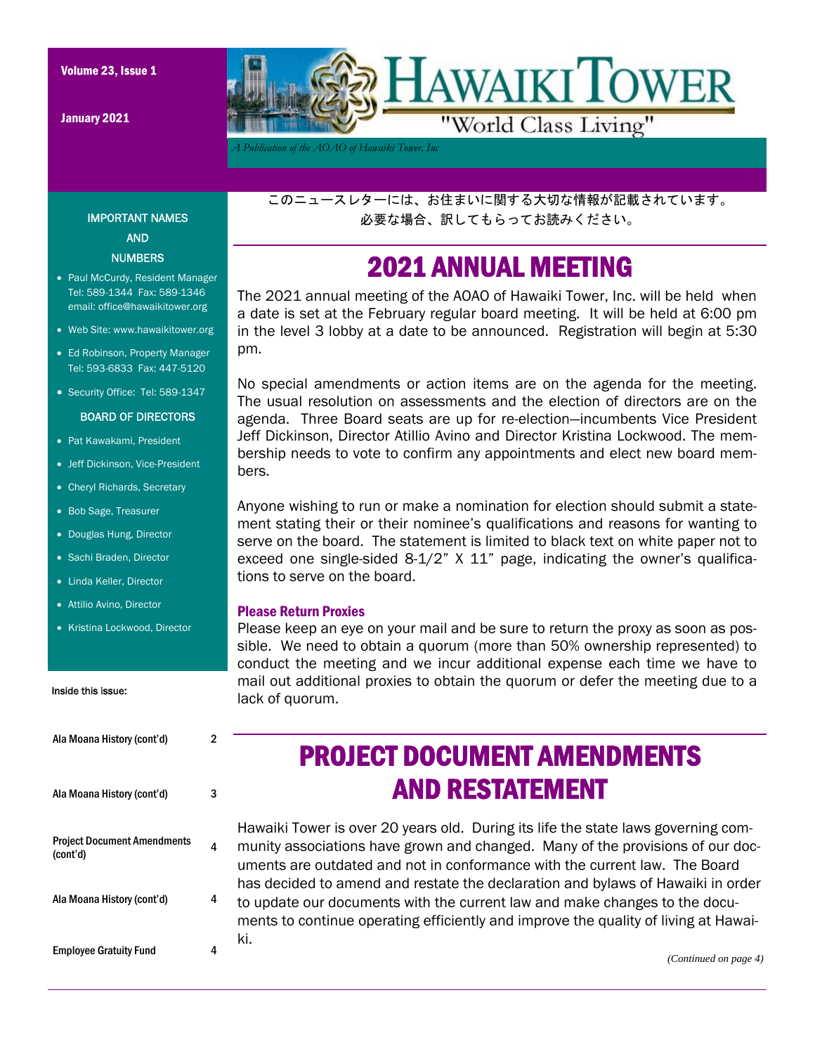January 2021



*A Publication of the AOAO of Hawaiki Tower, Inc* 

このニュースレターには、お住まいに関する大切な情報が記載されています。 必要な場合、訳してもらってお読みください。

### 2021 ANNUAL MEETING

The 2021 annual meeting of the AOAO of Hawaiki Tower, Inc. will be held when a date is set at the February regular board meeting. It will be held at 6:00 pm in the level 3 lobby at a date to be announced. Registration will begin at 5:30 pm.

No special amendments or action items are on the agenda for the meeting. The usual resolution on assessments and the election of directors are on the agenda. Three Board seats are up for re-election—incumbents Vice President Jeff Dickinson, Director Atillio Avino and Director Kristina Lockwood. The membership needs to vote to confirm any appointments and elect new board members.

Anyone wishing to run or make a nomination for election should submit a statement stating their or their nominee's qualifications and reasons for wanting to serve on the board. The statement is limited to black text on white paper not to exceed one single-sided  $8-1/2$ "  $X$  11" page, indicating the owner's qualifications to serve on the board.

#### Please Return Proxies

Please keep an eye on your mail and be sure to return the proxy as soon as possible. We need to obtain a quorum (more than 50% ownership represented) to conduct the meeting and we incur additional expense each time we have to mail out additional proxies to obtain the quorum or defer the meeting due to a lack of quorum.

### IMPORTANT NAMES AND

**NUMBERS** 

- Paul McCurdy, Resident Manager Tel: 589-1344 Fax: 589-1346 email: office@hawaikitower.org
- Web Site: www.hawaikitower.org
- Ed Robinson, Property Manager Tel: 593-6833 Fax: 447-5120
- Security Office: Tel: 589-1347

#### BOARD OF DIRECTORS

- Pat Kawakami, President
- Jeff Dickinson, Vice-President
- Cheryl Richards, Secretary
- Bob Sage, Treasurer
- Douglas Hung, Director
- Sachi Braden, Director
- Linda Keller, Director
- Attilio Avino, Director
- Kristina Lockwood, Director

#### Inside this issue:

| Ala Moana History (cont'd)                     | 2 |
|------------------------------------------------|---|
| Ala Moana History (cont'd)                     | 3 |
| <b>Project Document Amendments</b><br>(cont'd) | 4 |
| Ala Moana History (cont'd)                     | 4 |
| <b>Employee Gratuity Fund</b>                  |   |

# PROJECT DOCUMENT AMENDMENTS AND RESTATEMENT

Hawaiki Tower is over 20 years old. During its life the state laws governing community associations have grown and changed. Many of the provisions of our documents are outdated and not in conformance with the current law. The Board has decided to amend and restate the declaration and bylaws of Hawaiki in order to update our documents with the current law and make changes to the documents to continue operating efficiently and improve the quality of living at Hawaiki.

*(Continued on page 4)*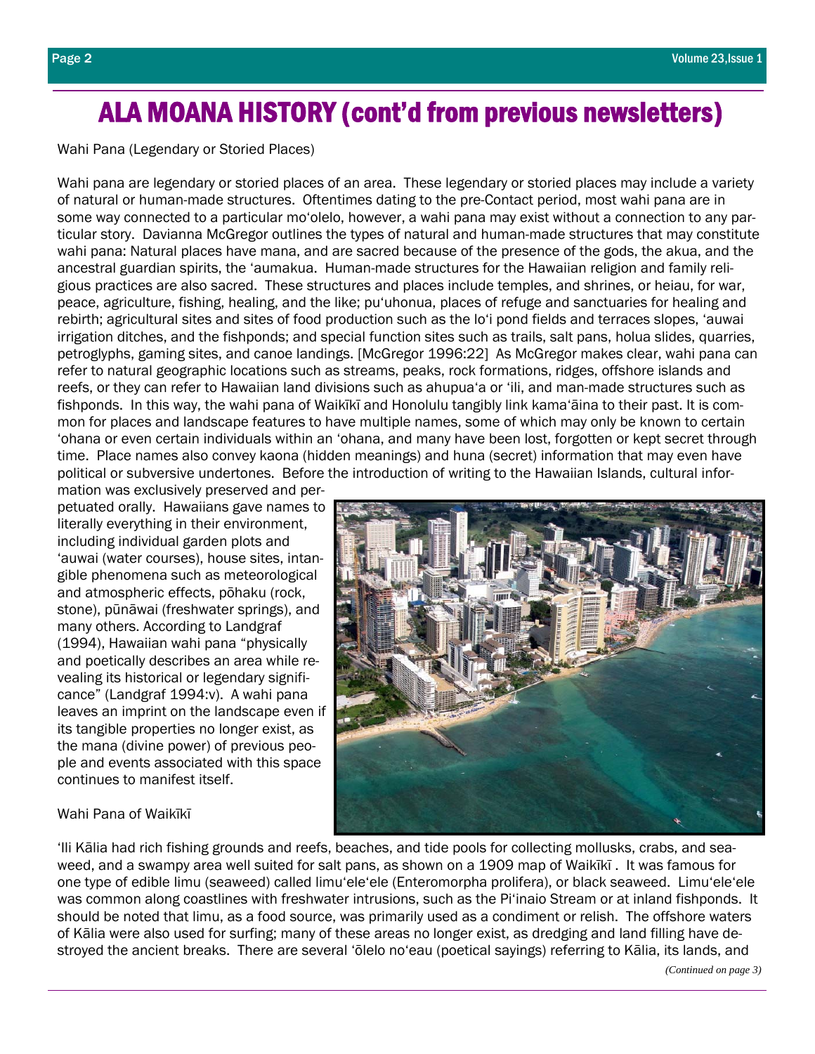# ALA MOANA HISTORY (cont'd from previous newsletters)

Wahi Pana (Legendary or Storied Places)

Wahi pana are legendary or storied places of an area. These legendary or storied places may include a variety of natural or human-made structures. Oftentimes dating to the pre-Contact period, most wahi pana are in some way connected to a particular mo'olelo, however, a wahi pana may exist without a connection to any particular story. Davianna McGregor outlines the types of natural and human-made structures that may constitute wahi pana: Natural places have mana, and are sacred because of the presence of the gods, the akua, and the ancestral guardian spirits, the 'aumakua. Human-made structures for the Hawaiian religion and family religious practices are also sacred. These structures and places include temples, and shrines, or heiau, for war, peace, agriculture, fishing, healing, and the like; pu'uhonua, places of refuge and sanctuaries for healing and rebirth; agricultural sites and sites of food production such as the lo'i pond fields and terraces slopes, 'auwai irrigation ditches, and the fishponds; and special function sites such as trails, salt pans, holua slides, quarries, petroglyphs, gaming sites, and canoe landings. [McGregor 1996:22] As McGregor makes clear, wahi pana can refer to natural geographic locations such as streams, peaks, rock formations, ridges, offshore islands and reefs, or they can refer to Hawaiian land divisions such as ahupua'a or 'ili, and man-made structures such as fishponds. In this way, the wahi pana of Waikīkī and Honolulu tangibly link kama'āina to their past. It is common for places and landscape features to have multiple names, some of which may only be known to certain 'ohana or even certain individuals within an 'ohana, and many have been lost, forgotten or kept secret through time. Place names also convey kaona (hidden meanings) and huna (secret) information that may even have political or subversive undertones. Before the introduction of writing to the Hawaiian Islands, cultural infor-

mation was exclusively preserved and perpetuated orally. Hawaiians gave names to literally everything in their environment, including individual garden plots and 'auwai (water courses), house sites, intangible phenomena such as meteorological and atmospheric effects, pōhaku (rock, stone), pūnāwai (freshwater springs), and many others. According to Landgraf (1994), Hawaiian wahi pana "physically and poetically describes an area while revealing its historical or legendary significance" (Landgraf 1994:v). A wahi pana leaves an imprint on the landscape even if its tangible properties no longer exist, as the mana (divine power) of previous people and events associated with this space continues to manifest itself.

### Wahi Pana of Waikīkī

'Ili Kālia had rich fishing grounds and reefs, beaches, and tide pools for collecting mollusks, crabs, and seaweed, and a swampy area well suited for salt pans, as shown on a 1909 map of Waikīkī . It was famous for one type of edible limu (seaweed) called limu'ele'ele (Enteromorpha prolifera), or black seaweed. Limu'ele'ele was common along coastlines with freshwater intrusions, such as the Pi'inaio Stream or at inland fishponds. It should be noted that limu, as a food source, was primarily used as a condiment or relish. The offshore waters of Kālia were also used for surfing; many of these areas no longer exist, as dredging and land filling have destroyed the ancient breaks. There are several 'ōlelo no'eau (poetical sayings) referring to Kālia, its lands, and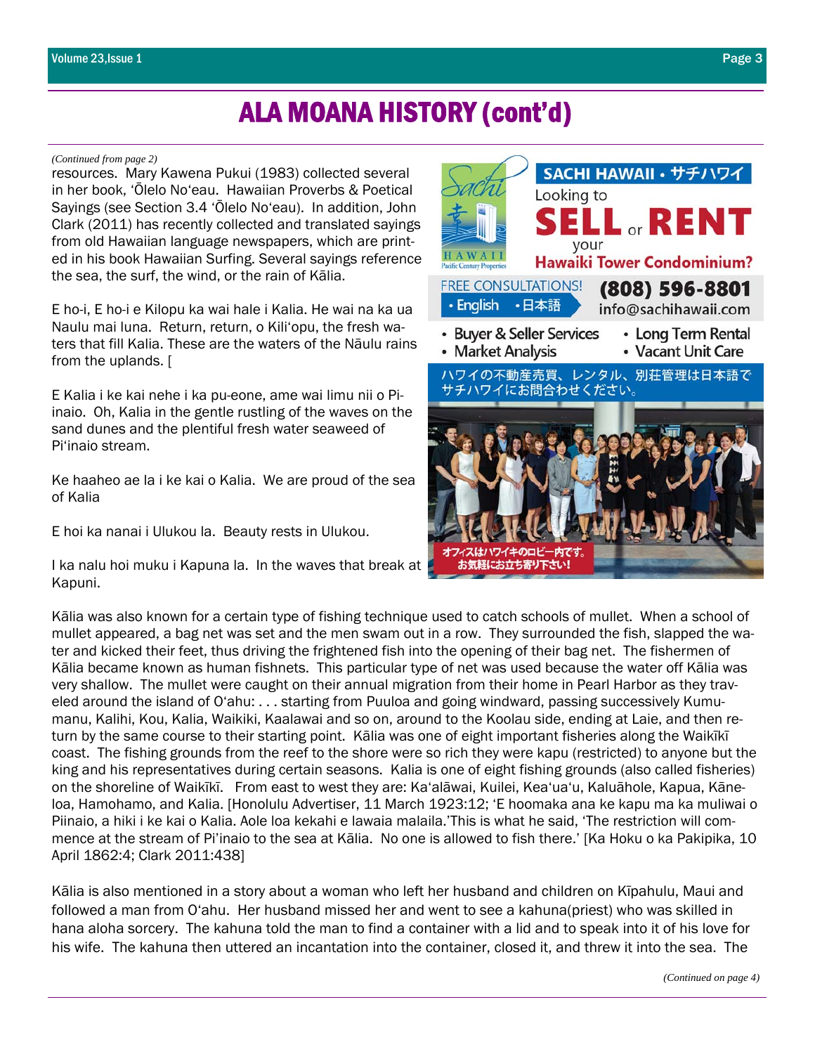### ALA MOANA HISTORY (cont'd)

#### *(Continued from page 2)*

resources. Mary Kawena Pukui (1983) collected several in her book, 'Ōlelo No'eau. Hawaiian Proverbs & Poetical Sayings (see Section 3.4 'Ōlelo No'eau). In addition, John Clark (2011) has recently collected and translated sayings from old Hawaiian language newspapers, which are printed in his book Hawaiian Surfing. Several sayings reference the sea, the surf, the wind, or the rain of Kālia.

E ho-i, E ho-i e Kilopu ka wai hale i Kalia. He wai na ka ua Naulu mai luna. Return, return, o Kili'opu, the fresh waters that fill Kalia. These are the waters of the Nāulu rains from the uplands. [

E Kalia i ke kai nehe i ka pu-eone, ame wai limu nii o Piinaio. Oh, Kalia in the gentle rustling of the waves on the sand dunes and the plentiful fresh water seaweed of Pi'inaio stream.

Ke haaheo ae la i ke kai o Kalia. We are proud of the sea of Kalia

E hoi ka nanai i Ulukou la. Beauty rests in Ulukou.

I ka nalu hoi muku i Kapuna la. In the waves that break at | Kapuni.



Kālia was also known for a certain type of fishing technique used to catch schools of mullet. When a school of mullet appeared, a bag net was set and the men swam out in a row. They surrounded the fish, slapped the water and kicked their feet, thus driving the frightened fish into the opening of their bag net. The fishermen of Kālia became known as human fishnets. This particular type of net was used because the water off Kālia was very shallow. The mullet were caught on their annual migration from their home in Pearl Harbor as they traveled around the island of O'ahu: . . . starting from Puuloa and going windward, passing successively Kumumanu, Kalihi, Kou, Kalia, Waikiki, Kaalawai and so on, around to the Koolau side, ending at Laie, and then return by the same course to their starting point. Kālia was one of eight important fisheries along the Waikīkī coast. The fishing grounds from the reef to the shore were so rich they were kapu (restricted) to anyone but the king and his representatives during certain seasons. Kalia is one of eight fishing grounds (also called fisheries) on the shoreline of Waikīkī. From east to west they are: Ka'alāwai, Kuilei, Kea'ua'u, Kaluāhole, Kapua, Kāneloa, Hamohamo, and Kalia. [Honolulu Advertiser, 11 March 1923:12; 'E hoomaka ana ke kapu ma ka muliwai o Piinaio, a hiki i ke kai o Kalia. Aole loa kekahi e lawaia malaila.'This is what he said, 'The restriction will commence at the stream of Pi'inaio to the sea at Kālia. No one is allowed to fish there.' [Ka Hoku o ka Pakipika, 10 April 1862:4; Clark 2011:438]

Kālia is also mentioned in a story about a woman who left her husband and children on Kīpahulu, Maui and followed a man from O'ahu. Her husband missed her and went to see a kahuna(priest) who was skilled in hana aloha sorcery. The kahuna told the man to find a container with a lid and to speak into it of his love for his wife. The kahuna then uttered an incantation into the container, closed it, and threw it into the sea. The